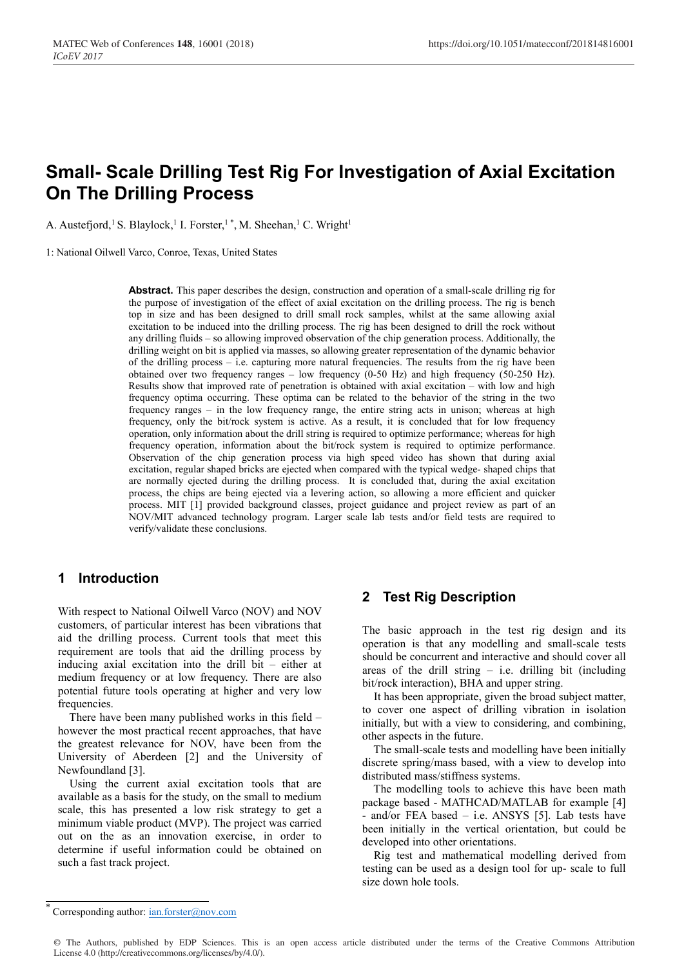# **Small- Scale Drilling Test Rig For Investigation of Axial Excitation On The Drilling Process**

A. Austefjord,<sup>1</sup> S. Blaylock,<sup>1</sup> I. Forster,<sup>1</sup>\*, M. Sheehan,<sup>1</sup> C. Wright<sup>1</sup>

1: National Oilwell Varco, Conroe, Texas, United States

**Abstract.** This paper describes the design, construction and operation of a small-scale drilling rig for the purpose of investigation of the effect of axial excitation on the drilling process. The rig is bench top in size and has been designed to drill small rock samples, whilst at the same allowing axial excitation to be induced into the drilling process. The rig has been designed to drill the rock without any drilling fluids – so allowing improved observation of the chip generation process. Additionally, the drilling weight on bit is applied via masses, so allowing greater representation of the dynamic behavior of the drilling process – i.e. capturing more natural frequencies. The results from the rig have been obtained over two frequency ranges – low frequency  $(0-50$  Hz) and high frequency  $(50-250$  Hz). Results show that improved rate of penetration is obtained with axial excitation – with low and high frequency optima occurring. These optima can be related to the behavior of the string in the two frequency ranges – in the low frequency range, the entire string acts in unison; whereas at high frequency, only the bit/rock system is active. As a result, it is concluded that for low frequency operation, only information about the drill string is required to optimize performance; whereas for high frequency operation, information about the bit/rock system is required to optimize performance. Observation of the chip generation process via high speed video has shown that during axial excitation, regular shaped bricks are ejected when compared with the typical wedge- shaped chips that are normally ejected during the drilling process. It is concluded that, during the axial excitation process, the chips are being ejected via a levering action, so allowing a more efficient and quicker process. MIT [1] provided background classes, project guidance and project review as part of an NOV/MIT advanced technology program. Larger scale lab tests and/or field tests are required to verify/validate these conclusions.

### **1 Introduction**

With respect to National Oilwell Varco (NOV) and NOV customers, of particular interest has been vibrations that aid the drilling process. Current tools that meet this requirement are tools that aid the drilling process by inducing axial excitation into the drill bit – either at medium frequency or at low frequency. There are also potential future tools operating at higher and very low frequencies.

 There have been many published works in this field – however the most practical recent approaches, that have the greatest relevance for NOV, have been from the University of Aberdeen [2] and the University of Newfoundland [3].

 Using the current axial excitation tools that are available as a basis for the study, on the small to medium scale, this has presented a low risk strategy to get a minimum viable product (MVP). The project was carried out on the as an innovation exercise, in order to determine if useful information could be obtained on such a fast track project.

### **2 Test Rig Description**

The basic approach in the test rig design and its operation is that any modelling and small-scale tests should be concurrent and interactive and should cover all areas of the drill string  $-$  i.e. drilling bit (including bit/rock interaction), BHA and upper string.

 It has been appropriate, given the broad subject matter, to cover one aspect of drilling vibration in isolation initially, but with a view to considering, and combining, other aspects in the future.

 The small-scale tests and modelling have been initially discrete spring/mass based, with a view to develop into distributed mass/stiffness systems.

 The modelling tools to achieve this have been math package based - MATHCAD/MATLAB for example [4] - and/or FEA based – i.e. ANSYS [5]. Lab tests have been initially in the vertical orientation, but could be developed into other orientations.

 Rig test and mathematical modelling derived from testing can be used as a design tool for up- scale to full size down hole tools.

© The Authors, published by EDP Sciences. This is an open access article distributed under the terms of the Creative Commons Attribution License 4.0 (http://creativecommons.org/licenses/by/4.0/).

Corresponding author: ian.forster@nov.com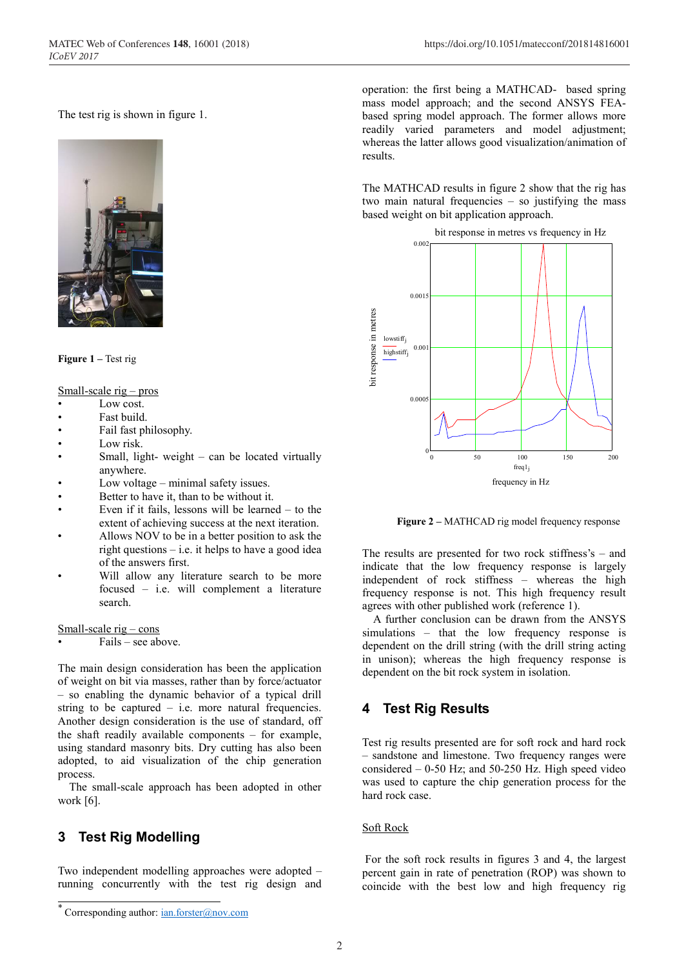The test rig is shown in figure 1.



**Figure 1 –** Test rig

Small-scale rig – pros

- Low cost.
- Fast build.
- Fail fast philosophy.
- Low risk.
- Small, light- weight  $-$  can be located virtually anywhere.
- Low voltage minimal safety issues.
- Better to have it, than to be without it.
- Even if it fails, lessons will be learned  $-$  to the extent of achieving success at the next iteration.
- Allows NOV to be in a better position to ask the right questions  $-$  i.e. it helps to have a good idea of the answers first.
- Will allow any literature search to be more focused – i.e. will complement a literature search.

Small-scale rig – cons

Fails – see above.

The main design consideration has been the application of weight on bit via masses, rather than by force/actuator – so enabling the dynamic behavior of a typical drill string to be captured – i.e. more natural frequencies. Another design consideration is the use of standard, off the shaft readily available components – for example, using standard masonry bits. Dry cutting has also been adopted, to aid visualization of the chip generation process.

 The small-scale approach has been adopted in other work [6].

## **3 Test Rig Modelling**

Two independent modelling approaches were adopted – running concurrently with the test rig design and

operation: the first being a MATHCAD- based spring mass model approach; and the second ANSYS FEAbased spring model approach. The former allows more readily varied parameters and model adjustment; whereas the latter allows good visualization/animation of results.

The MATHCAD results in figure 2 show that the rig has two main natural frequencies – so justifying the mass based weight on bit application approach.



 **Figure 2 –** MATHCAD rig model frequency response

The results are presented for two rock stiffness's – and indicate that the low frequency response is largely independent of rock stiffness – whereas the high frequency response is not. This high frequency result agrees with other published work (reference 1).

 A further conclusion can be drawn from the ANSYS simulations – that the low frequency response is dependent on the drill string (with the drill string acting in unison); whereas the high frequency response is dependent on the bit rock system in isolation.

## **4 Test Rig Results**

Test rig results presented are for soft rock and hard rock – sandstone and limestone. Two frequency ranges were considered – 0-50 Hz; and 50-250 Hz. High speed video was used to capture the chip generation process for the hard rock case.

#### Soft Rock

For the soft rock results in figures 3 and 4, the largest percent gain in rate of penetration (ROP) was shown to coincide with the best low and high frequency rig

Corresponding author: ian.forster@nov.com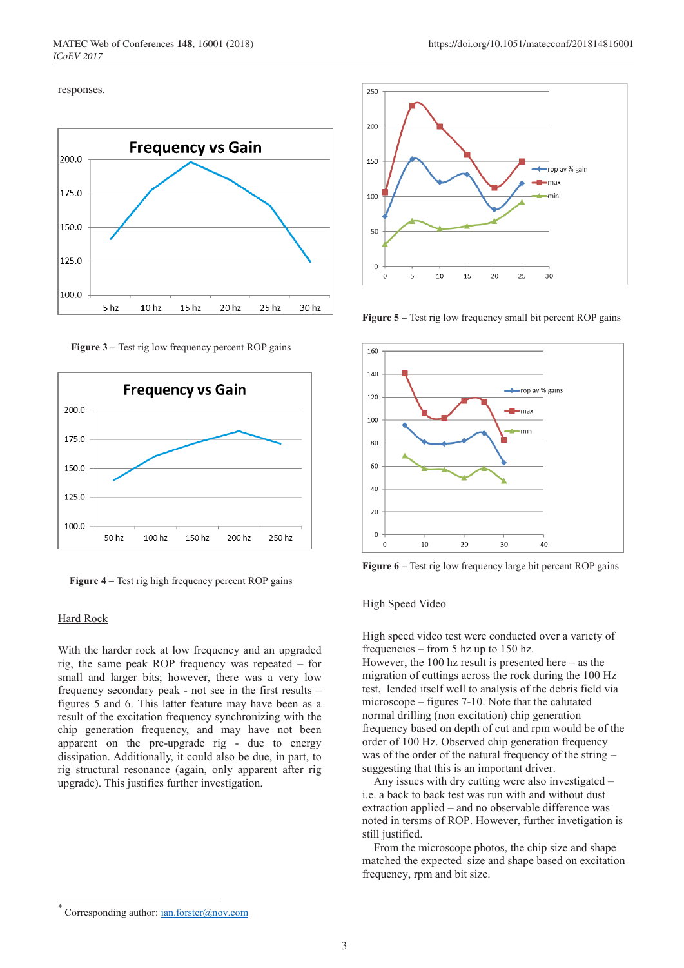#### responses.



 **Figure 3 –** Test rig low frequency percent ROP gains



 **Figure 4 –** Test rig high frequency percent ROP gains

#### Hard Rock

With the harder rock at low frequency and an upgraded rig, the same peak ROP frequency was repeated – for small and larger bits; however, there was a very low frequency secondary peak - not see in the first results – figures 5 and 6. This latter feature may have been as a result of the excitation frequency synchronizing with the chip generation frequency, and may have not been apparent on the pre-upgrade rig - due to energy dissipation. Additionally, it could also be due, in part, to rig structural resonance (again, only apparent after rig upgrade). This justifies further investigation.



**Figure 5 –** Test rig low frequency small bit percent ROP gains



**Figure 6 –** Test rig low frequency large bit percent ROP gains

#### High Speed Video

High speed video test were conducted over a variety of frequencies – from 5 hz up to 150 hz.

However, the  $100$  hz result is presented here – as the migration of cuttings across the rock during the 100 Hz test, lended itself well to analysis of the debris field via microscope – figures 7-10. Note that the calutated normal drilling (non excitation) chip generation frequency based on depth of cut and rpm would be of the order of 100 Hz. Observed chip generation frequency was of the order of the natural frequency of the string – suggesting that this is an important driver.

 Any issues with dry cutting were also investigated – i.e. a back to back test was run with and without dust extraction applied – and no observable difference was noted in tersms of ROP. However, further invetigation is still justified.

 From the microscope photos, the chip size and shape matched the expected size and shape based on excitation frequency, rpm and bit size.

Corresponding author: ian.forster@nov.com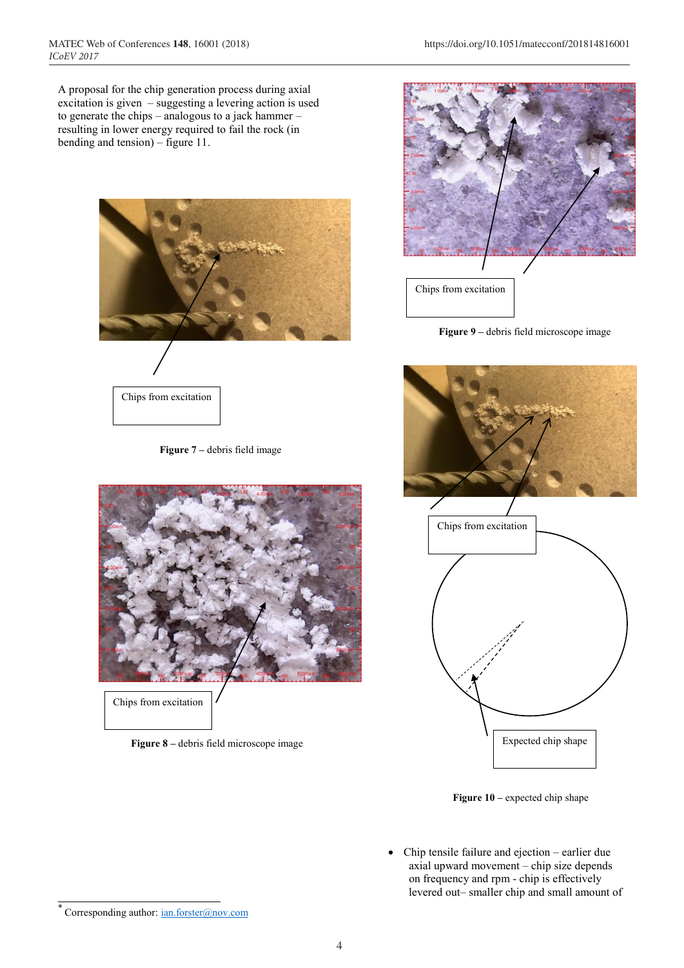A proposal for the chip generation process during axial excitation is given – suggesting a levering action is used to generate the chips – analogous to a jack hammer – resulting in lower energy required to fail the rock (in bending and tension) – figure 11.



 **Figure 7 –** debris field image



Chips from excitation

 **Figure 8 –** debris field microscope image



**Figure 9 –** debris field microscope image





 **Figure 10 –** expected chip shape

• Chip tensile failure and ejection – earlier due axial upward movement – chip size depends on frequency and rpm - chip is effectively levered out– smaller chip and small amount of

Corresponding author: ian.forster@nov.com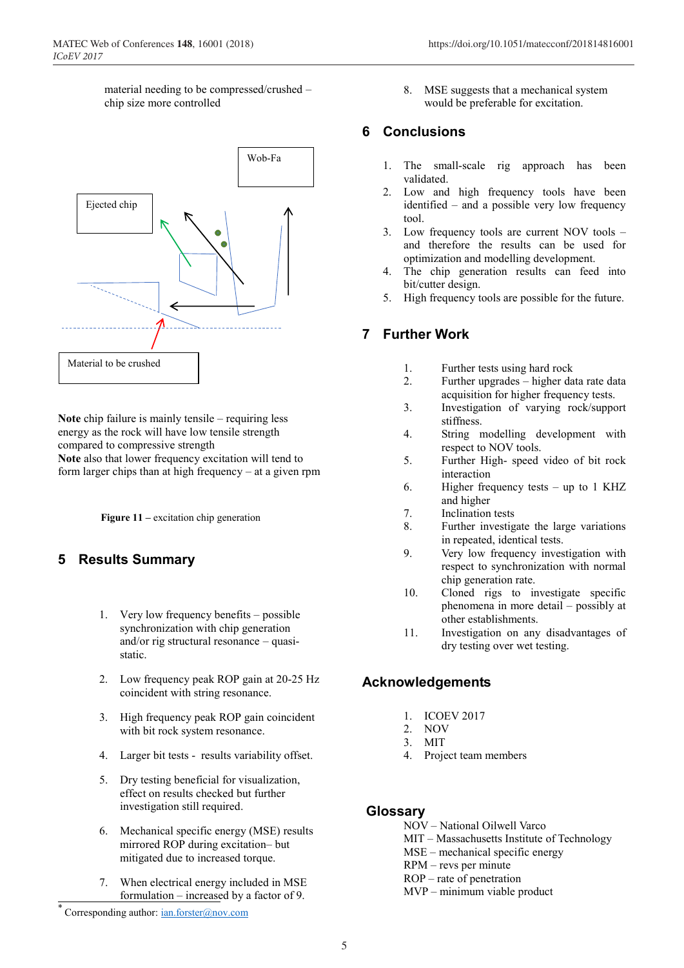material needing to be compressed/crushed – chip size more controlled



**Note** chip failure is mainly tensile – requiring less energy as the rock will have low tensile strength compared to compressive strength **Note** also that lower frequency excitation will tend to form larger chips than at high frequency – at a given rpm

**Figure 11** – excitation chip generation

## **5 Results Summary**

- 1. Very low frequency benefits possible synchronization with chip generation and/or rig structural resonance – quasistatic.
- 2. Low frequency peak ROP gain at 20-25 Hz coincident with string resonance.
- 3. High frequency peak ROP gain coincident with bit rock system resonance.
- 4. Larger bit tests results variability offset.
- 5. Dry testing beneficial for visualization, effect on results checked but further investigation still required.
- 6. Mechanical specific energy (MSE) results mirrored ROP during excitation– but mitigated due to increased torque.
- 7. When electrical energy included in MSE formulation – increased by a factor of 9.

## **6 Conclusions**

- 1. The small-scale rig approach has been validated.
- 2. Low and high frequency tools have been identified – and a possible very low frequency tool.
- 3. Low frequency tools are current NOV tools and therefore the results can be used for optimization and modelling development.
- 4. The chip generation results can feed into bit/cutter design.
- 5. High frequency tools are possible for the future.

## **7 Further Work**

- 1. Further tests using hard rock
- 2. Further upgrades higher data rate data acquisition for higher frequency tests.
- 3. Investigation of varying rock/support stiffness.
- 4. String modelling development with respect to NOV tools.
- 5. Further High- speed video of bit rock interaction
- 6. Higher frequency tests up to 1 KHZ and higher
- 7. Inclination tests
- 8. Further investigate the large variations in repeated, identical tests.
- 9. Very low frequency investigation with respect to synchronization with normal chip generation rate.
- 10. Cloned rigs to investigate specific phenomena in more detail – possibly at other establishments.
- 11. Investigation on any disadvantages of dry testing over wet testing.

## **Acknowledgements**

- 1. ICOEV 2017
- 2. NOV
- 3. MIT
- 4. Project team members

## **Glossary**

- NOV National Oilwell Varco
- MIT Massachusetts Institute of Technology
- MSE mechanical specific energy
- RPM revs per minute
- ROP rate of penetration MVP – minimum viable product

<sup>8.</sup> MSE suggests that a mechanical system would be preferable for excitation.

Corresponding author: ian.forster@nov.com